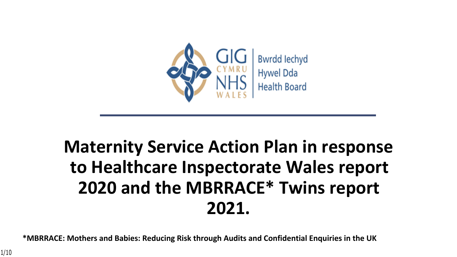

# **Maternity Service Action Plan in response to Healthcare Inspectorate Wales report 2020 and the MBRRACE\* Twins report 2021.**

**\*MBRRACE: Mothers and Babies: Reducing Risk through Audits and Confidential Enquiries in the UK**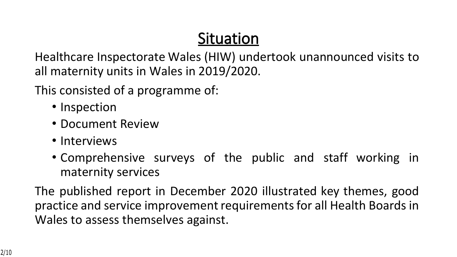## **Situation**

Healthcare Inspectorate Wales (HIW) undertook unannounced visits to all maternity units in Wales in 2019/2020.

This consisted of a programme of:

- Inspection
- Document Review
- Interviews
- Comprehensive surveys of the public and staff working in maternity services

The published report in December 2020 illustrated key themes, good practice and service improvement requirements for all Health Boards in Wales to assess themselves against.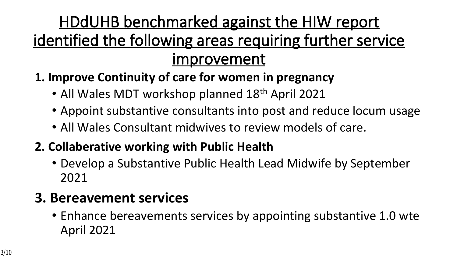## **HDdUHB benchmarked against the HIW report identified the following areas requiring further service improvement**

- **1. Improve Continuity of care for women in pregnancy**
	- All Wales MDT workshop planned 18<sup>th</sup> April 2021
	- Appoint substantive consultants into post and reduce locum usage
	- All Wales Consultant midwives to review models of care.
- **2. Collaberative working with Public Health** 
	- Develop a Substantive Public Health Lead Midwife by September 2021

### **3. Bereavement services**

• Enhance bereavements services by appointing substantive 1.0 wte April 2021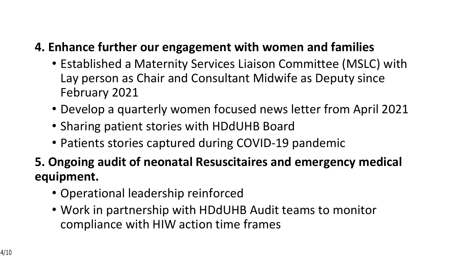### **4. Enhance further our engagement with women and families**

- Established a Maternity Services Liaison Committee (MSLC) with Lay person as Chair and Consultant Midwife as Deputy since February 2021
- Develop a quarterly women focused news letter from April 2021
- Sharing patient stories with HDdUHB Board
- Patients stories captured during COVID-19 pandemic
- **5. Ongoing audit of neonatal Resuscitaires and emergency medical equipment.**
	- Operational leadership reinforced
	- Work in partnership with HDdUHB Audit teams to monitor compliance with HIW action time frames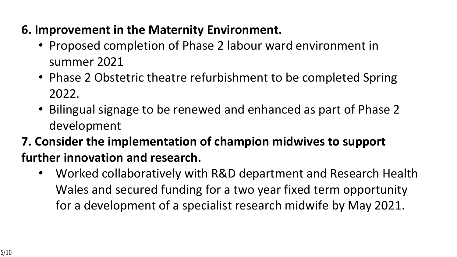### **6. Improvement in the Maternity Environment.**

- Proposed completion of Phase 2 labour ward environment in summer 2021
- Phase 2 Obstetric theatre refurbishment to be completed Spring 2022.
- Bilingual signage to be renewed and enhanced as part of Phase 2 development
- **7. Consider the implementation of champion midwives to support further innovation and research.** 
	- Worked collaboratively with R&D department and Research Health Wales and secured funding for a two year fixed term opportunity for a development of a specialist research midwife by May 2021.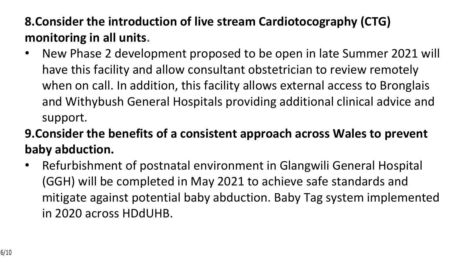### **8.Consider the introduction of live stream Cardiotocography (CTG) monitoring in all units.**

- New Phase 2 development proposed to be open in late Summer 2021 will have this facility and allow consultant obstetrician to review remotely when on call. In addition, this facility allows external access to Bronglais and Withybush General Hospitals providing additional clinical advice and support.
- **9.Consider the benefits of a consistent approach across Wales to prevent baby abduction.**
- Refurbishment of postnatal environment in Glangwili General Hospital (GGH) will be completed in May 2021 to achieve safe standards and mitigate against potential baby abduction. Baby Tag system implemented in 2020 across HDdUHB.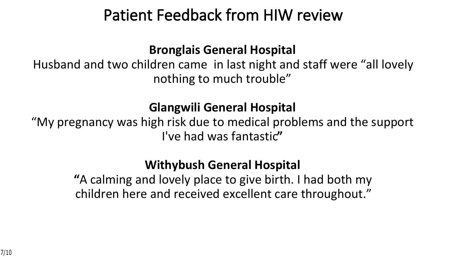## **Patient Feedback from HIW review**

#### **Bronglais General Hospital**

Husband and two children came in last night and staff were "all lovely nothing to much trouble"

### **Glangwili General Hospital**

"My pregnancy was high risk due to medical problems and the support I've had was fantastic**"**

### **Withybush General Hospital**

**"**A calming and lovely place to give birth. I had both my children here and received excellent care throughout."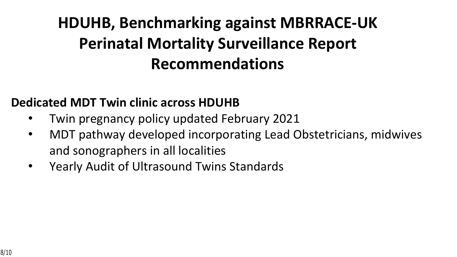# **HDUHB, Benchmarking against MBRRACE-UK Perinatal Mortality Surveillance Report Recommendations**

### **Dedicated MDT Twin clinic across HDUHB**

- Twin pregnancy policy updated February 2021
- MDT pathway developed incorporating Lead Obstetricians, midwives and sonographers in all localities
- Yearly Audit of Ultrasound Twins Standards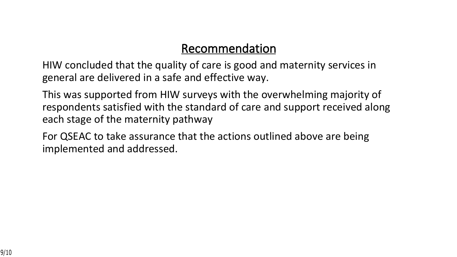#### **Recommendation**

HIW concluded that the quality of care is good and maternity services in general are delivered in a safe and effective way.

This was supported from HIW surveys with the overwhelming majority of respondents satisfied with the standard of care and support received along each stage of the maternity pathway

For QSEAC to take assurance that the actions outlined above are being implemented and addressed.